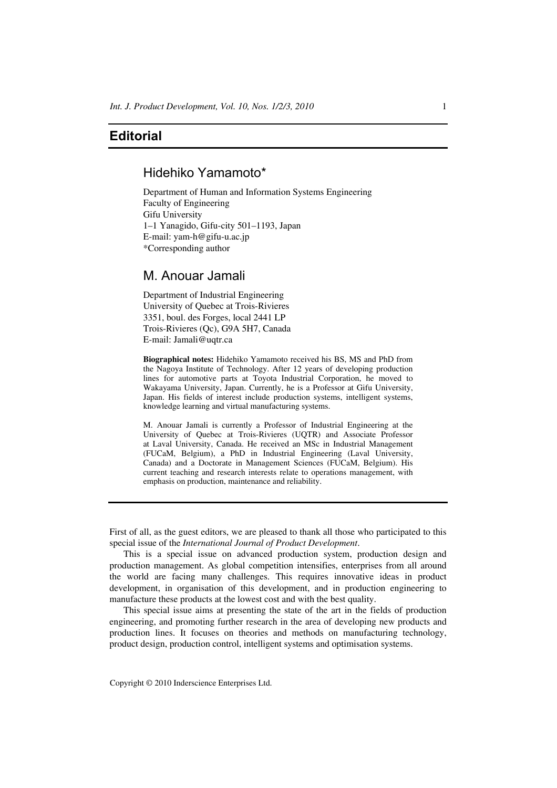## **Editorial**

## Hidehiko Yamamoto\*

Department of Human and Information Systems Engineering Faculty of Engineering Gifu University 1–1 Yanagido, Gifu-city 501–1193, Japan E-mail: yam-h@gifu-u.ac.jp \*Corresponding author

## M. Anouar Jamali

Department of Industrial Engineering University of Quebec at Trois-Rivieres 3351, boul. des Forges, local 2441 LP Trois-Rivieres (Qc), G9A 5H7, Canada E-mail: Jamali@uqtr.ca

**Biographical notes:** Hidehiko Yamamoto received his BS, MS and PhD from the Nagoya Institute of Technology. After 12 years of developing production lines for automotive parts at Toyota Industrial Corporation, he moved to Wakayama University, Japan. Currently, he is a Professor at Gifu University, Japan. His fields of interest include production systems, intelligent systems, knowledge learning and virtual manufacturing systems.

M. Anouar Jamali is currently a Professor of Industrial Engineering at the University of Quebec at Trois-Rivieres (UQTR) and Associate Professor at Laval University, Canada. He received an MSc in Industrial Management (FUCaM, Belgium), a PhD in Industrial Engineering (Laval University, Canada) and a Doctorate in Management Sciences (FUCaM, Belgium). His current teaching and research interests relate to operations management, with emphasis on production, maintenance and reliability.

First of all, as the guest editors, we are pleased to thank all those who participated to this special issue of the *International Journal of Product Development*.

This is a special issue on advanced production system, production design and production management. As global competition intensifies, enterprises from all around the world are facing many challenges. This requires innovative ideas in product development, in organisation of this development, and in production engineering to manufacture these products at the lowest cost and with the best quality.

This special issue aims at presenting the state of the art in the fields of production engineering, and promoting further research in the area of developing new products and production lines. It focuses on theories and methods on manufacturing technology, product design, production control, intelligent systems and optimisation systems.